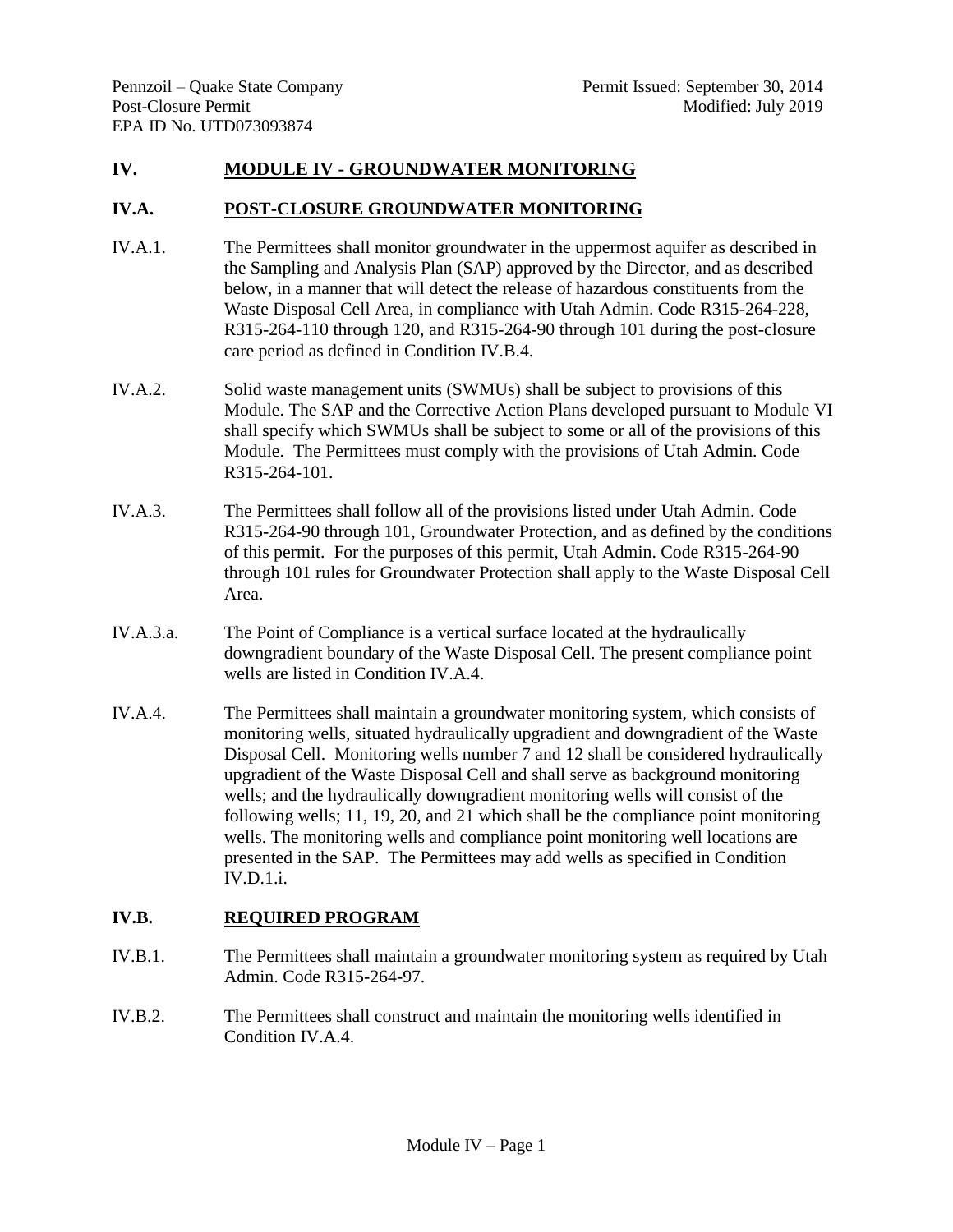# **IV. MODULE IV - GROUNDWATER MONITORING**

#### **IV.A. POST-CLOSURE GROUNDWATER MONITORING**

- IV.A.1. The Permittees shall monitor groundwater in the uppermost aquifer as described in the Sampling and Analysis Plan (SAP) approved by the Director, and as described below, in a manner that will detect the release of hazardous constituents from the Waste Disposal Cell Area, in compliance with Utah Admin. Code R315-264-228, R315-264-110 through 120, and R315-264-90 through 101 during the post-closure care period as defined in Condition IV.B.4.
- IV.A.2. Solid waste management units (SWMUs) shall be subject to provisions of this Module. The SAP and the Corrective Action Plans developed pursuant to Module VI shall specify which SWMUs shall be subject to some or all of the provisions of this Module. The Permittees must comply with the provisions of Utah Admin. Code R315-264-101.
- IV.A.3. The Permittees shall follow all of the provisions listed under Utah Admin. Code R315-264-90 through 101, Groundwater Protection, and as defined by the conditions of this permit. For the purposes of this permit, Utah Admin. Code R315-264-90 through 101 rules for Groundwater Protection shall apply to the Waste Disposal Cell Area.
- IV.A.3.a. The Point of Compliance is a vertical surface located at the hydraulically downgradient boundary of the Waste Disposal Cell. The present compliance point wells are listed in Condition IV.A.4.
- IV.A.4. The Permittees shall maintain a groundwater monitoring system, which consists of monitoring wells, situated hydraulically upgradient and downgradient of the Waste Disposal Cell. Monitoring wells number 7 and 12 shall be considered hydraulically upgradient of the Waste Disposal Cell and shall serve as background monitoring wells; and the hydraulically downgradient monitoring wells will consist of the following wells; 11, 19, 20, and 21 which shall be the compliance point monitoring wells. The monitoring wells and compliance point monitoring well locations are presented in the SAP. The Permittees may add wells as specified in Condition IV.D.1.i.

# **IV.B. REQUIRED PROGRAM**

- IV.B.1. The Permittees shall maintain a groundwater monitoring system as required by Utah Admin. Code R315-264-97.
- IV.B.2. The Permittees shall construct and maintain the monitoring wells identified in Condition IV.A.4.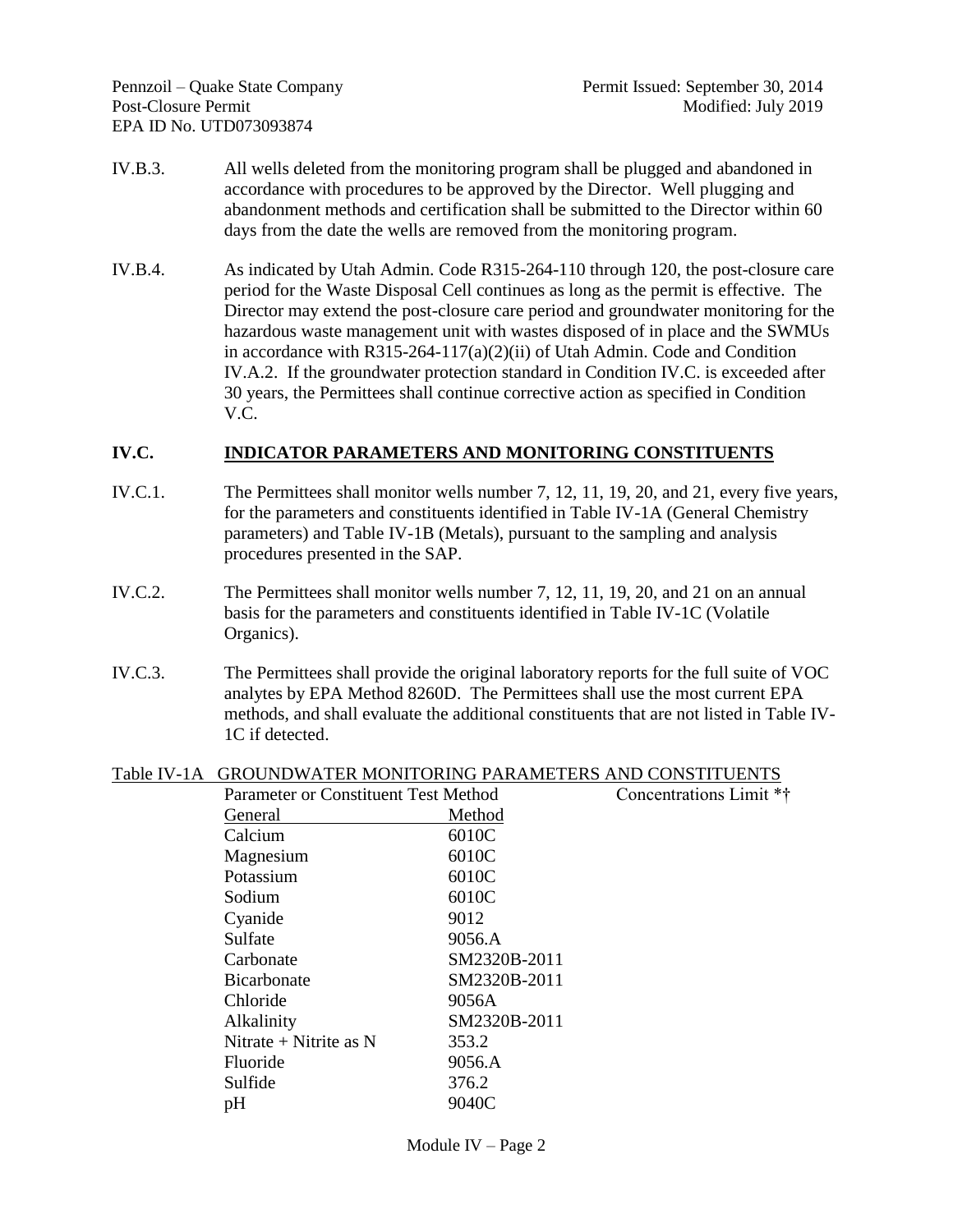- IV.B.3. All wells deleted from the monitoring program shall be plugged and abandoned in accordance with procedures to be approved by the Director. Well plugging and abandonment methods and certification shall be submitted to the Director within 60 days from the date the wells are removed from the monitoring program.
- IV.B.4. As indicated by Utah Admin. Code R315-264-110 through 120, the post-closure care period for the Waste Disposal Cell continues as long as the permit is effective. The Director may extend the post-closure care period and groundwater monitoring for the hazardous waste management unit with wastes disposed of in place and the SWMUs in accordance with R315-264-117(a)(2)(ii) of Utah Admin. Code and Condition IV.A.2. If the groundwater protection standard in Condition IV.C. is exceeded after 30 years, the Permittees shall continue corrective action as specified in Condition V.C.

### **IV.C. INDICATOR PARAMETERS AND MONITORING CONSTITUENTS**

- IV.C.1. The Permittees shall monitor wells number 7, 12, 11, 19, 20, and 21, every five years, for the parameters and constituents identified in Table IV-1A (General Chemistry parameters) and Table IV-1B (Metals), pursuant to the sampling and analysis procedures presented in the SAP.
- IV.C.2. The Permittees shall monitor wells number 7, 12, 11, 19, 20, and 21 on an annual basis for the parameters and constituents identified in Table IV-1C (Volatile Organics).
- IV.C.3. The Permittees shall provide the original laboratory reports for the full suite of VOC analytes by EPA Method 8260D. The Permittees shall use the most current EPA methods, and shall evaluate the additional constituents that are not listed in Table IV-1C if detected.

### Table IV-1A GROUNDWATER MONITORING PARAMETERS AND CONSTITUENTS

| Parameter or Constituent Test Method |              | Concentrations Limit ** |
|--------------------------------------|--------------|-------------------------|
| General                              | Method       |                         |
| Calcium                              | 6010C        |                         |
| Magnesium                            | 6010C        |                         |
| Potassium                            | 6010C        |                         |
| Sodium                               | 6010C        |                         |
| Cyanide                              | 9012         |                         |
| Sulfate                              | 9056.A       |                         |
| Carbonate                            | SM2320B-2011 |                         |
| <b>Bicarbonate</b>                   | SM2320B-2011 |                         |
| Chloride                             | 9056A        |                         |
| Alkalinity                           | SM2320B-2011 |                         |
| Nitrate $+$ Nitrite as N             | 353.2        |                         |
| Fluoride                             | 9056.A       |                         |
| Sulfide                              | 376.2        |                         |
| pH                                   | 9040C        |                         |
|                                      |              |                         |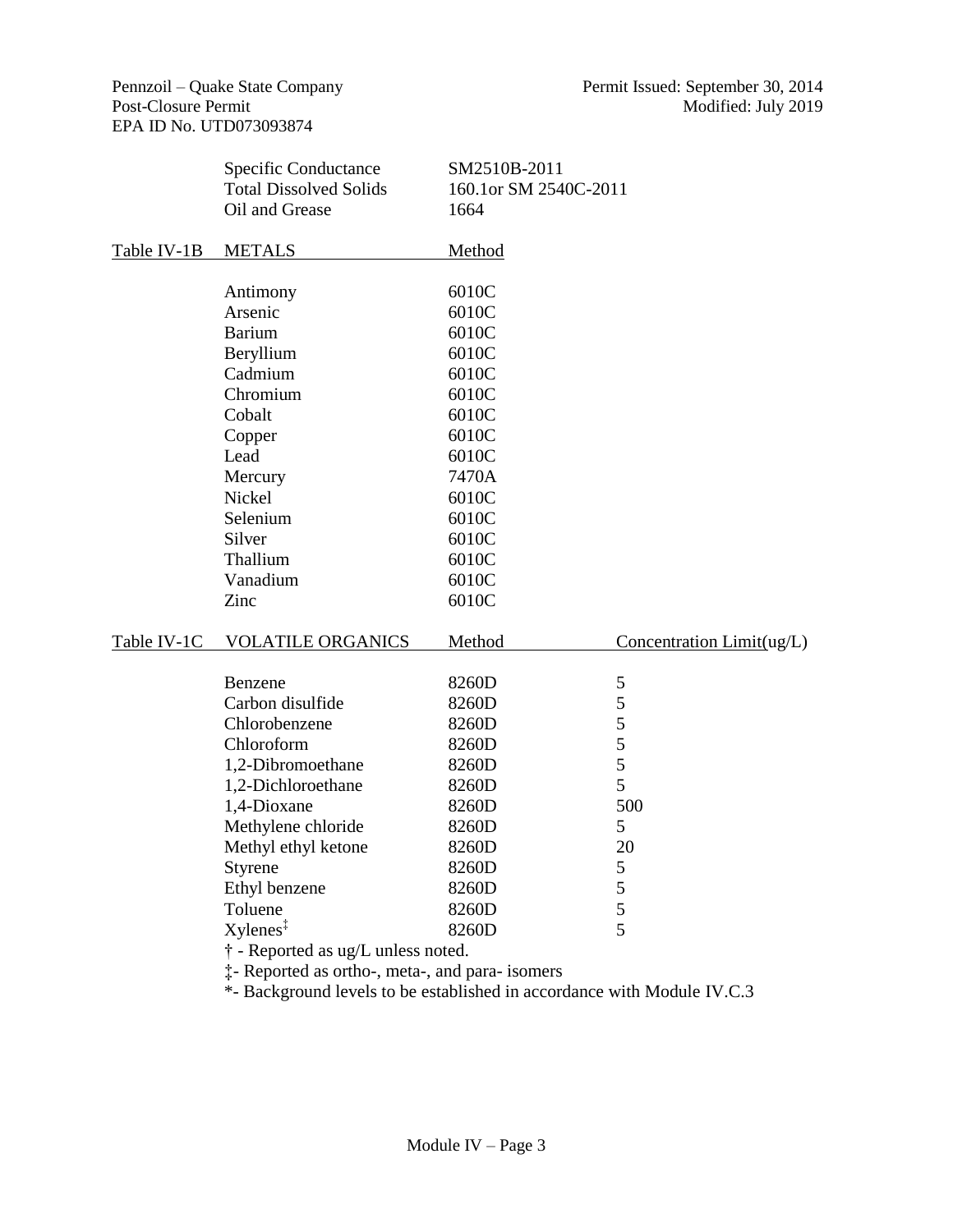|             | Specific Conductance<br><b>Total Dissolved Solids</b><br>Oil and Grease | SM2510B-2011<br>160.1or SM 2540C-2011<br>1664 |                           |
|-------------|-------------------------------------------------------------------------|-----------------------------------------------|---------------------------|
| Table IV-1B | <b>METALS</b>                                                           | Method                                        |                           |
|             |                                                                         | 6010C                                         |                           |
|             | Antimony<br>Arsenic                                                     | 6010C                                         |                           |
|             | <b>Barium</b>                                                           | 6010C                                         |                           |
|             | Beryllium                                                               | 6010C                                         |                           |
|             | Cadmium                                                                 | 6010C                                         |                           |
|             | Chromium                                                                | 6010C                                         |                           |
|             | Cobalt                                                                  | 6010C                                         |                           |
|             |                                                                         | 6010C                                         |                           |
|             | Copper<br>Lead                                                          | 6010C                                         |                           |
|             |                                                                         | 7470A                                         |                           |
|             | Mercury<br>Nickel                                                       | 6010C                                         |                           |
|             | Selenium                                                                | 6010C                                         |                           |
|             | Silver                                                                  |                                               |                           |
|             | Thallium                                                                | 6010C<br>6010C                                |                           |
|             |                                                                         |                                               |                           |
|             | Vanadium                                                                | 6010C                                         |                           |
|             | Zinc                                                                    | 6010C                                         |                           |
| Table IV-1C | <b>VOLATILE ORGANICS</b>                                                | Method                                        | Concentration Limit(ug/L) |
|             | Benzene                                                                 | 8260D                                         | $\mathfrak{S}$            |
|             | Carbon disulfide                                                        | 8260D                                         | 5                         |
|             | Chlorobenzene                                                           | 8260D                                         | 5                         |
|             | Chloroform                                                              | 8260D                                         | 5                         |
|             | 1,2-Dibromoethane                                                       | 8260D                                         | 5                         |
|             | 1,2-Dichloroethane                                                      | 8260D                                         | 5                         |
|             | 1,4-Dioxane                                                             | 8260D                                         | 500                       |
|             | Methylene chloride                                                      | 8260D                                         | 5                         |
|             | Methyl ethyl ketone                                                     | 8260D                                         | 20                        |
|             | Styrene                                                                 | 8260D                                         | 5                         |
|             | Ethyl benzene                                                           | 8260D                                         | 5                         |
|             | Toluene                                                                 | 8260D                                         | 5                         |
|             | $X$ ylenes <sup><math>\ddagger</math></sup>                             | 8260D                                         | 5                         |
|             | † - Reported as ug/L unless noted.                                      |                                               |                           |

‡- Reported as ortho-, meta-, and para- isomers

\*- Background levels to be established in accordance with Module IV.C.3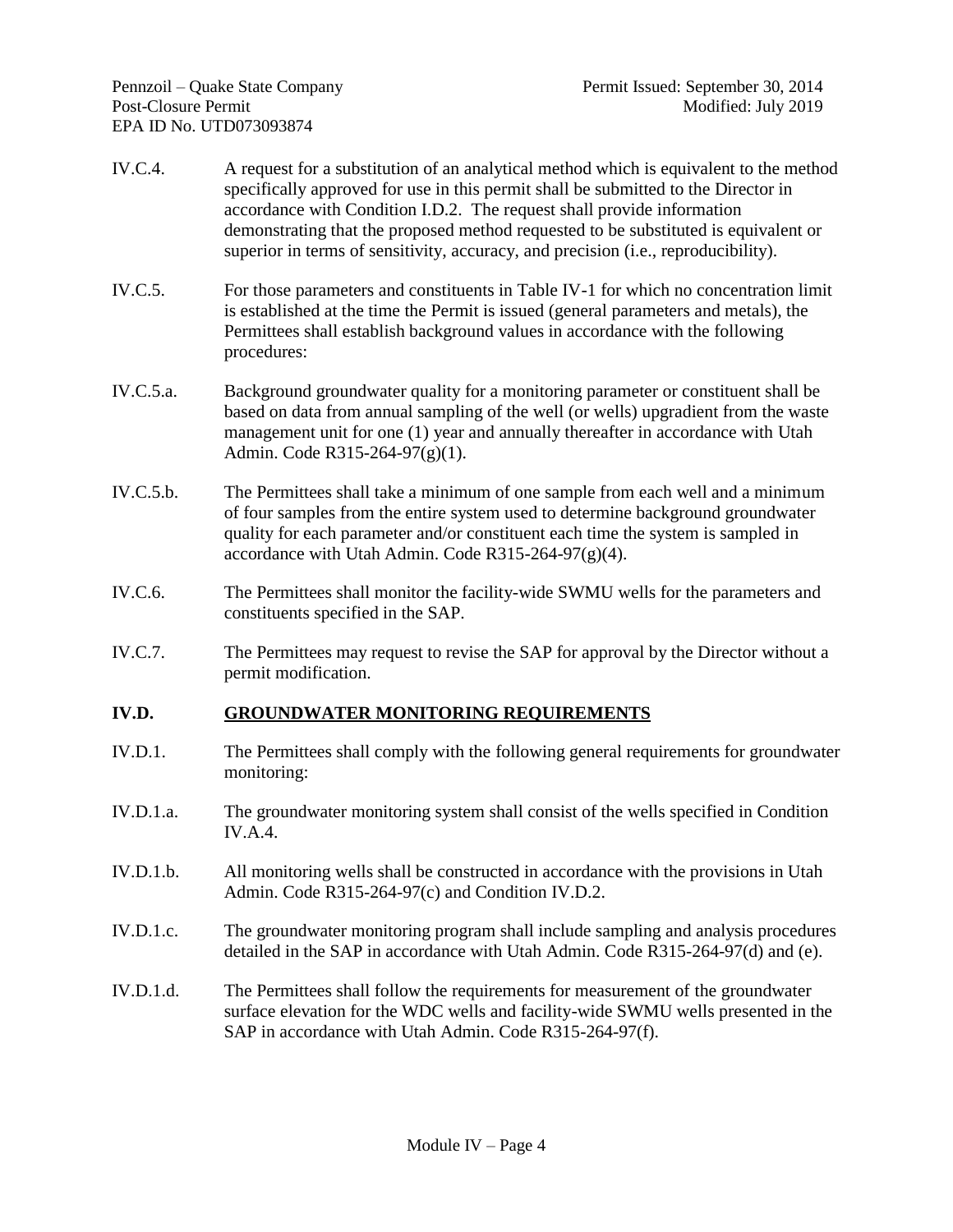- IV.C.4. A request for a substitution of an analytical method which is equivalent to the method specifically approved for use in this permit shall be submitted to the Director in accordance with Condition I.D.2. The request shall provide information demonstrating that the proposed method requested to be substituted is equivalent or superior in terms of sensitivity, accuracy, and precision (i.e., reproducibility).
- IV.C.5. For those parameters and constituents in Table IV-1 for which no concentration limit is established at the time the Permit is issued (general parameters and metals), the Permittees shall establish background values in accordance with the following procedures:
- IV.C.5.a. Background groundwater quality for a monitoring parameter or constituent shall be based on data from annual sampling of the well (or wells) upgradient from the waste management unit for one (1) year and annually thereafter in accordance with Utah Admin. Code R315-264-97(g)(1).
- IV.C.5.b. The Permittees shall take a minimum of one sample from each well and a minimum of four samples from the entire system used to determine background groundwater quality for each parameter and/or constituent each time the system is sampled in accordance with Utah Admin. Code  $R315-264-97(g)(4)$ .
- IV.C.6. The Permittees shall monitor the facility-wide SWMU wells for the parameters and constituents specified in the SAP.
- IV.C.7. The Permittees may request to revise the SAP for approval by the Director without a permit modification.

### **IV.D. GROUNDWATER MONITORING REQUIREMENTS**

- IV.D.1. The Permittees shall comply with the following general requirements for groundwater monitoring:
- IV.D.1.a. The groundwater monitoring system shall consist of the wells specified in Condition IV.A.4.
- IV.D.1.b. All monitoring wells shall be constructed in accordance with the provisions in Utah Admin. Code R315-264-97(c) and Condition IV.D.2.
- IV.D.1.c. The groundwater monitoring program shall include sampling and analysis procedures detailed in the SAP in accordance with Utah Admin. Code R315-264-97(d) and (e).
- IV.D.1.d. The Permittees shall follow the requirements for measurement of the groundwater surface elevation for the WDC wells and facility-wide SWMU wells presented in the SAP in accordance with Utah Admin. Code R315-264-97(f).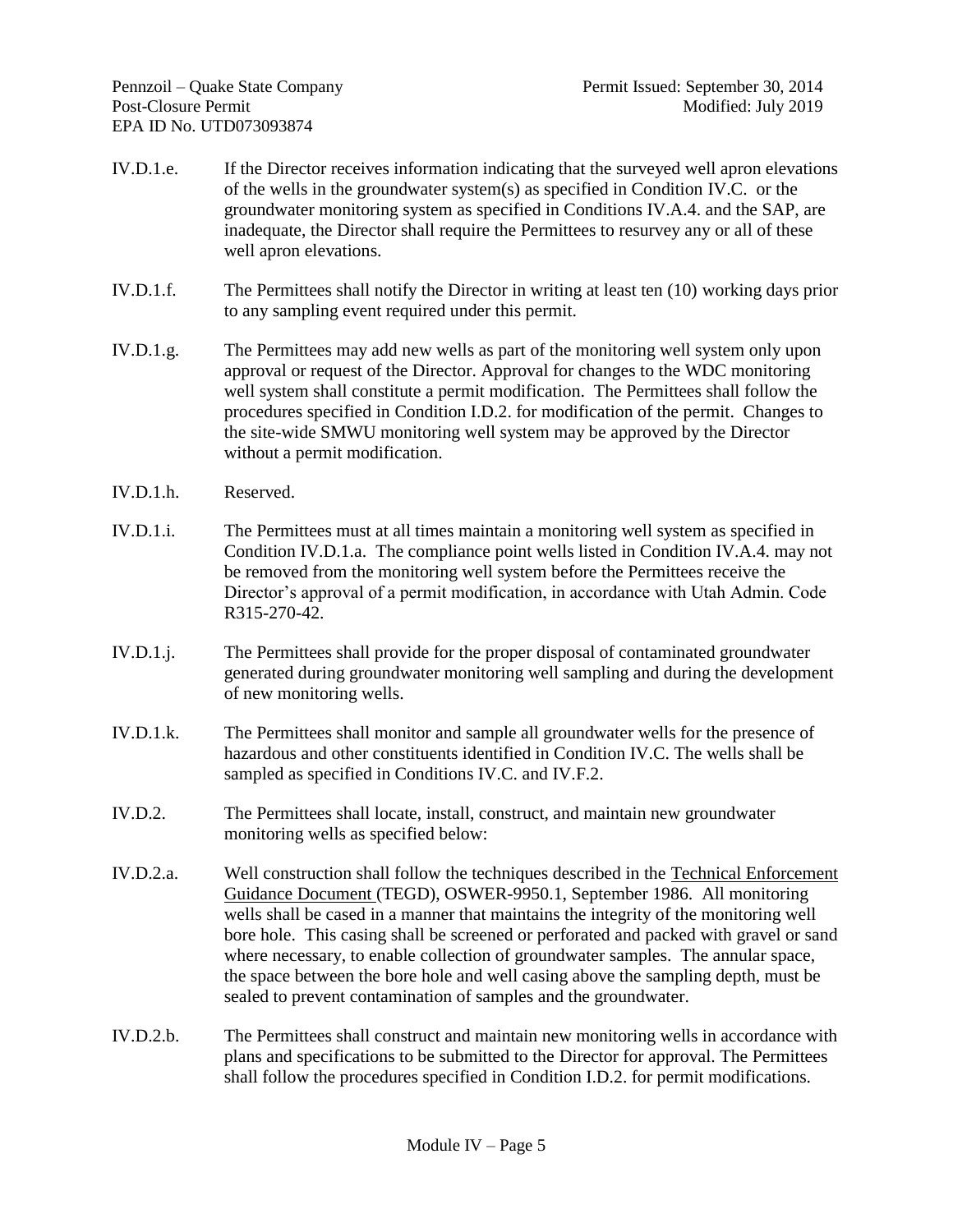- IV.D.1.e. If the Director receives information indicating that the surveyed well apron elevations of the wells in the groundwater system(s) as specified in Condition IV.C. or the groundwater monitoring system as specified in Conditions IV.A.4. and the SAP, are inadequate, the Director shall require the Permittees to resurvey any or all of these well apron elevations.
- IV.D.1.f. The Permittees shall notify the Director in writing at least ten (10) working days prior to any sampling event required under this permit.
- IV.D.1.g. The Permittees may add new wells as part of the monitoring well system only upon approval or request of the Director. Approval for changes to the WDC monitoring well system shall constitute a permit modification. The Permittees shall follow the procedures specified in Condition I.D.2. for modification of the permit. Changes to the site-wide SMWU monitoring well system may be approved by the Director without a permit modification.
- IV.D.1.h. Reserved.
- IV.D.1.i. The Permittees must at all times maintain a monitoring well system as specified in Condition IV.D.1.a. The compliance point wells listed in Condition IV.A.4. may not be removed from the monitoring well system before the Permittees receive the Director's approval of a permit modification, in accordance with Utah Admin. Code R315-270-42.
- IV.D.1.j. The Permittees shall provide for the proper disposal of contaminated groundwater generated during groundwater monitoring well sampling and during the development of new monitoring wells.
- IV.D.1.k. The Permittees shall monitor and sample all groundwater wells for the presence of hazardous and other constituents identified in Condition IV.C. The wells shall be sampled as specified in Conditions IV.C. and IV.F.2.
- IV.D.2. The Permittees shall locate, install, construct, and maintain new groundwater monitoring wells as specified below:
- IV.D.2.a. Well construction shall follow the techniques described in the Technical Enforcement Guidance Document (TEGD), OSWER-9950.1, September 1986. All monitoring wells shall be cased in a manner that maintains the integrity of the monitoring well bore hole. This casing shall be screened or perforated and packed with gravel or sand where necessary, to enable collection of groundwater samples. The annular space, the space between the bore hole and well casing above the sampling depth, must be sealed to prevent contamination of samples and the groundwater.
- IV.D.2.b. The Permittees shall construct and maintain new monitoring wells in accordance with plans and specifications to be submitted to the Director for approval. The Permittees shall follow the procedures specified in Condition I.D.2. for permit modifications.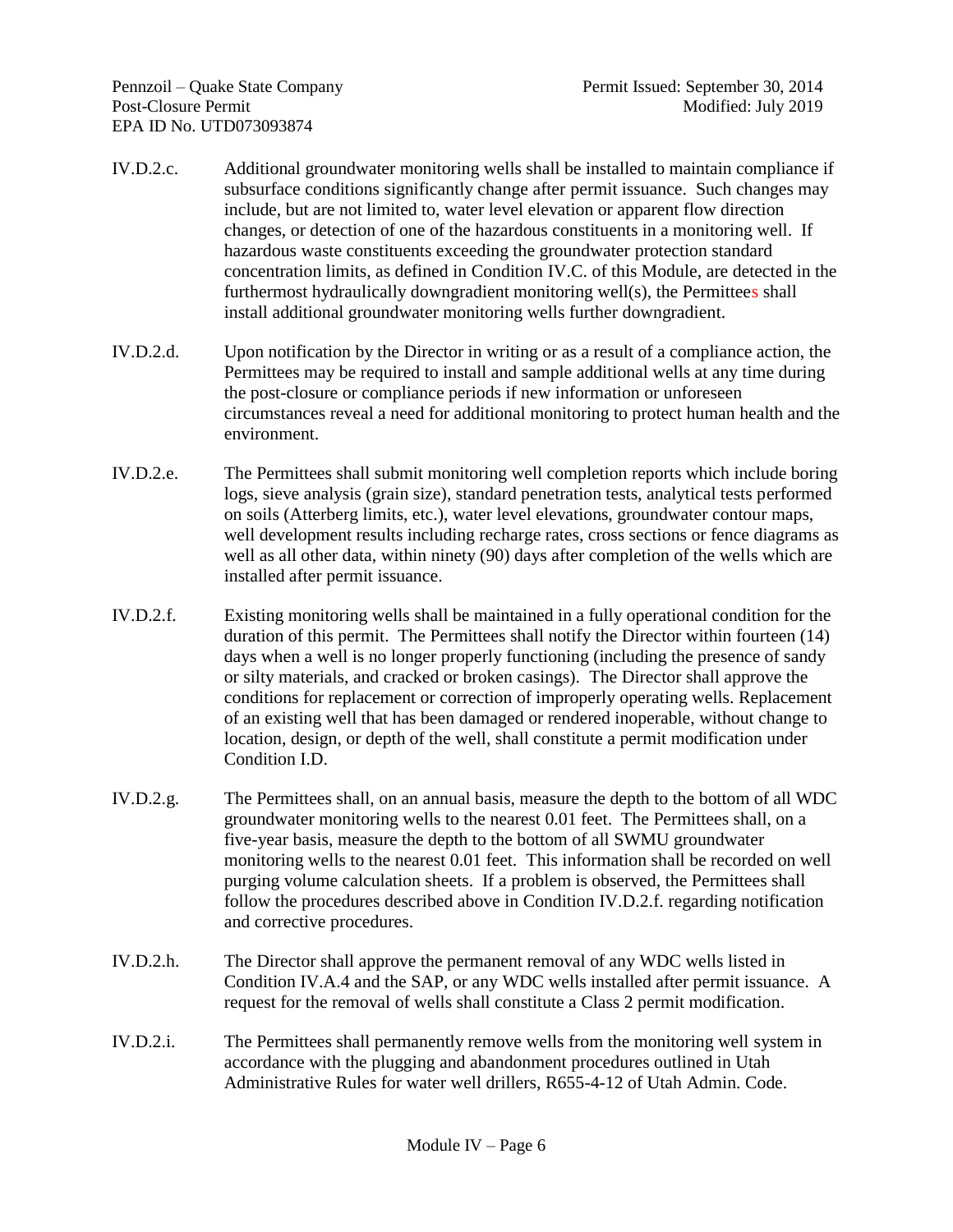- IV.D.2.c. Additional groundwater monitoring wells shall be installed to maintain compliance if subsurface conditions significantly change after permit issuance. Such changes may include, but are not limited to, water level elevation or apparent flow direction changes, or detection of one of the hazardous constituents in a monitoring well. If hazardous waste constituents exceeding the groundwater protection standard concentration limits, as defined in Condition IV.C. of this Module, are detected in the furthermost hydraulically downgradient monitoring well(s), the Permittees shall install additional groundwater monitoring wells further downgradient.
- IV.D.2.d. Upon notification by the Director in writing or as a result of a compliance action, the Permittees may be required to install and sample additional wells at any time during the post-closure or compliance periods if new information or unforeseen circumstances reveal a need for additional monitoring to protect human health and the environment.
- IV.D.2.e. The Permittees shall submit monitoring well completion reports which include boring logs, sieve analysis (grain size), standard penetration tests, analytical tests performed on soils (Atterberg limits, etc.), water level elevations, groundwater contour maps, well development results including recharge rates, cross sections or fence diagrams as well as all other data, within ninety (90) days after completion of the wells which are installed after permit issuance.
- IV.D.2.f. Existing monitoring wells shall be maintained in a fully operational condition for the duration of this permit. The Permittees shall notify the Director within fourteen (14) days when a well is no longer properly functioning (including the presence of sandy or silty materials, and cracked or broken casings).The Director shall approve the conditions for replacement or correction of improperly operating wells. Replacement of an existing well that has been damaged or rendered inoperable, without change to location, design, or depth of the well, shall constitute a permit modification under Condition I.D.
- IV.D.2.g. The Permittees shall, on an annual basis, measure the depth to the bottom of all WDC groundwater monitoring wells to the nearest 0.01 feet. The Permittees shall, on a five-year basis, measure the depth to the bottom of all SWMU groundwater monitoring wells to the nearest 0.01 feet. This information shall be recorded on well purging volume calculation sheets. If a problem is observed, the Permittees shall follow the procedures described above in Condition IV.D.2.f. regarding notification and corrective procedures.
- IV.D.2.h. The Director shall approve the permanent removal of any WDC wells listed in Condition IV.A.4 and the SAP, or any WDC wells installed after permit issuance. A request for the removal of wells shall constitute a Class 2 permit modification.
- IV.D.2.i. The Permittees shall permanently remove wells from the monitoring well system in accordance with the plugging and abandonment procedures outlined in Utah Administrative Rules for water well drillers, R655-4-12 of Utah Admin. Code.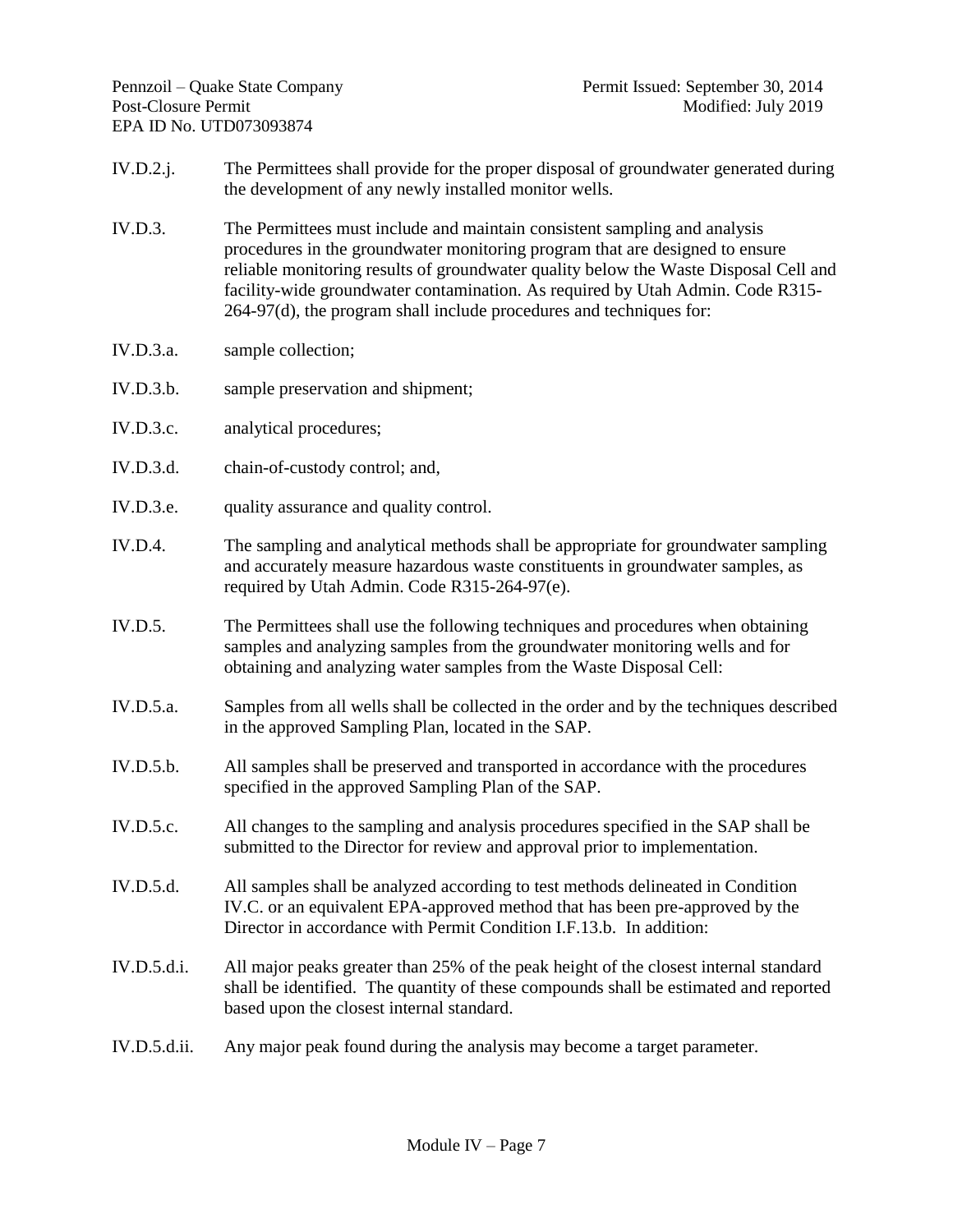- IV.D.2.j. The Permittees shall provide for the proper disposal of groundwater generated during the development of any newly installed monitor wells.
- IV.D.3. The Permittees must include and maintain consistent sampling and analysis procedures in the groundwater monitoring program that are designed to ensure reliable monitoring results of groundwater quality below the Waste Disposal Cell and facility-wide groundwater contamination. As required by Utah Admin. Code R315- 264-97(d), the program shall include procedures and techniques for:
- IV.D.3.a. sample collection;
- IV.D.3.b. sample preservation and shipment;
- IV.D.3.c. analytical procedures;
- IV.D.3.d. chain-of-custody control; and,
- IV.D.3.e. quality assurance and quality control.
- IV.D.4. The sampling and analytical methods shall be appropriate for groundwater sampling and accurately measure hazardous waste constituents in groundwater samples, as required by Utah Admin. Code R315-264-97(e).
- IV.D.5. The Permittees shall use the following techniques and procedures when obtaining samples and analyzing samples from the groundwater monitoring wells and for obtaining and analyzing water samples from the Waste Disposal Cell:
- IV.D.5.a. Samples from all wells shall be collected in the order and by the techniques described in the approved Sampling Plan, located in the SAP.
- IV.D.5.b. All samples shall be preserved and transported in accordance with the procedures specified in the approved Sampling Plan of the SAP.
- IV.D.5.c. All changes to the sampling and analysis procedures specified in the SAP shall be submitted to the Director for review and approval prior to implementation.
- IV.D.5.d. All samples shall be analyzed according to test methods delineated in Condition IV.C. or an equivalent EPA-approved method that has been pre-approved by the Director in accordance with Permit Condition I.F.13.b. In addition:
- IV.D.5.d.i. All major peaks greater than 25% of the peak height of the closest internal standard shall be identified. The quantity of these compounds shall be estimated and reported based upon the closest internal standard.
- IV.D.5.d.ii. Any major peak found during the analysis may become a target parameter.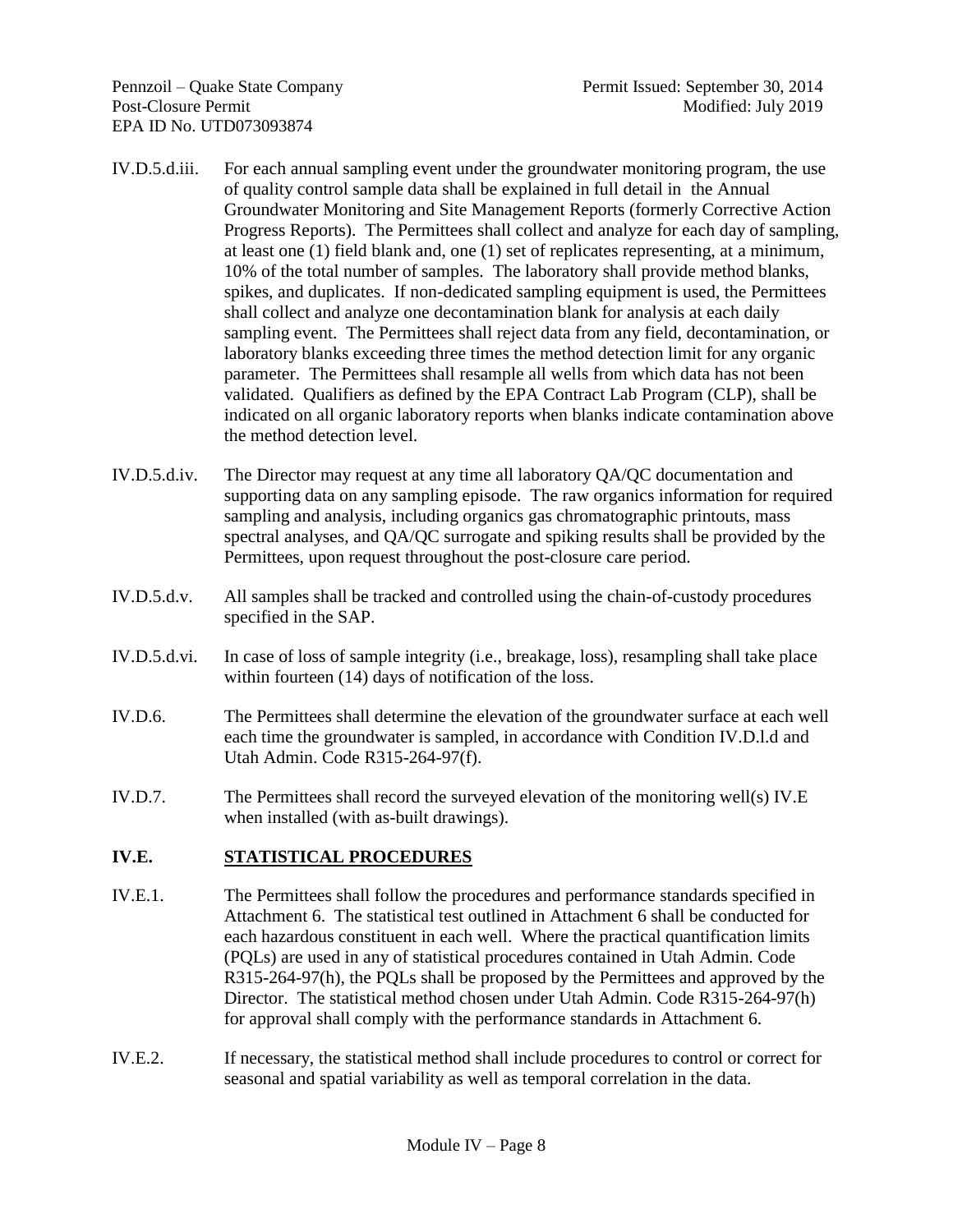- IV.D.5.d.iii. For each annual sampling event under the groundwater monitoring program, the use of quality control sample data shall be explained in full detail in the Annual Groundwater Monitoring and Site Management Reports (formerly Corrective Action Progress Reports). The Permittees shall collect and analyze for each day of sampling, at least one (1) field blank and, one (1) set of replicates representing, at a minimum, 10% of the total number of samples. The laboratory shall provide method blanks, spikes, and duplicates. If non-dedicated sampling equipment is used, the Permittees shall collect and analyze one decontamination blank for analysis at each daily sampling event. The Permittees shall reject data from any field, decontamination, or laboratory blanks exceeding three times the method detection limit for any organic parameter. The Permittees shall resample all wells from which data has not been validated. Qualifiers as defined by the EPA Contract Lab Program (CLP), shall be indicated on all organic laboratory reports when blanks indicate contamination above the method detection level.
- IV.D.5.d.iv. The Director may request at any time all laboratory QA/QC documentation and supporting data on any sampling episode. The raw organics information for required sampling and analysis, including organics gas chromatographic printouts, mass spectral analyses, and QA/QC surrogate and spiking results shall be provided by the Permittees, upon request throughout the post-closure care period.
- IV.D.5.d.v. All samples shall be tracked and controlled using the chain-of-custody procedures specified in the SAP.
- IV.D.5.d.vi. In case of loss of sample integrity (i.e., breakage, loss), resampling shall take place within fourteen (14) days of notification of the loss.
- IV.D.6. The Permittees shall determine the elevation of the groundwater surface at each well each time the groundwater is sampled, in accordance with Condition IV.D.l.d and Utah Admin. Code R315-264-97(f).
- IV.D.7. The Permittees shall record the surveyed elevation of the monitoring well(s) IV.E when installed (with as-built drawings).

# **IV.E. STATISTICAL PROCEDURES**

- IV.E.1. The Permittees shall follow the procedures and performance standards specified in Attachment 6. The statistical test outlined in Attachment 6 shall be conducted for each hazardous constituent in each well. Where the practical quantification limits (PQLs) are used in any of statistical procedures contained in Utah Admin. Code R315-264-97(h), the PQLs shall be proposed by the Permittees and approved by the Director. The statistical method chosen under Utah Admin. Code R315-264-97(h) for approval shall comply with the performance standards in Attachment 6.
- IV.E.2. If necessary, the statistical method shall include procedures to control or correct for seasonal and spatial variability as well as temporal correlation in the data.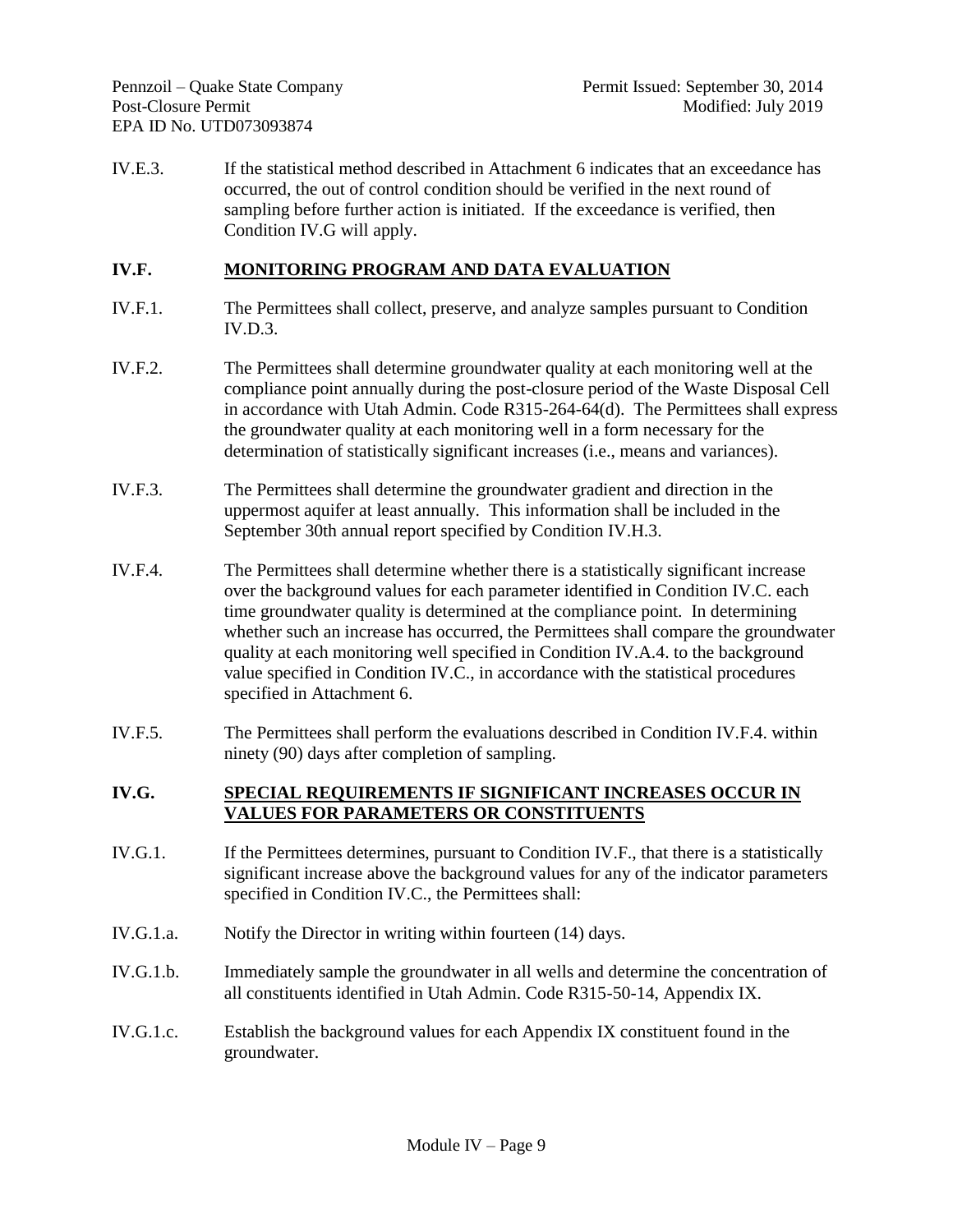IV.E.3. If the statistical method described in Attachment 6 indicates that an exceedance has occurred, the out of control condition should be verified in the next round of sampling before further action is initiated. If the exceedance is verified, then Condition IV.G will apply.

# **IV.F. MONITORING PROGRAM AND DATA EVALUATION**

- IV.F.1. The Permittees shall collect, preserve, and analyze samples pursuant to Condition  $IV.D.3.$
- IV.F.2. The Permittees shall determine groundwater quality at each monitoring well at the compliance point annually during the post-closure period of the Waste Disposal Cell in accordance with Utah Admin. Code R315-264-64(d). The Permittees shall express the groundwater quality at each monitoring well in a form necessary for the determination of statistically significant increases (i.e., means and variances).
- IV.F.3. The Permittees shall determine the groundwater gradient and direction in the uppermost aquifer at least annually. This information shall be included in the September 30th annual report specified by Condition IV.H.3.
- IV.F.4. The Permittees shall determine whether there is a statistically significant increase over the background values for each parameter identified in Condition IV.C. each time groundwater quality is determined at the compliance point. In determining whether such an increase has occurred, the Permittees shall compare the groundwater quality at each monitoring well specified in Condition IV.A.4. to the background value specified in Condition IV.C., in accordance with the statistical procedures specified in Attachment 6.
- IV.F.5. The Permittees shall perform the evaluations described in Condition IV.F.4. within ninety (90) days after completion of sampling.

### **IV.G. SPECIAL REQUIREMENTS IF SIGNIFICANT INCREASES OCCUR IN VALUES FOR PARAMETERS OR CONSTITUENTS**

- IV.G.1. If the Permittees determines, pursuant to Condition IV.F., that there is a statistically significant increase above the background values for any of the indicator parameters specified in Condition IV.C., the Permittees shall:
- IV.G.1.a. Notify the Director in writing within fourteen (14) days.
- IV.G.1.b. Immediately sample the groundwater in all wells and determine the concentration of all constituents identified in Utah Admin. Code R315-50-14, Appendix IX.
- IV.G.1.c. Establish the background values for each Appendix IX constituent found in the groundwater.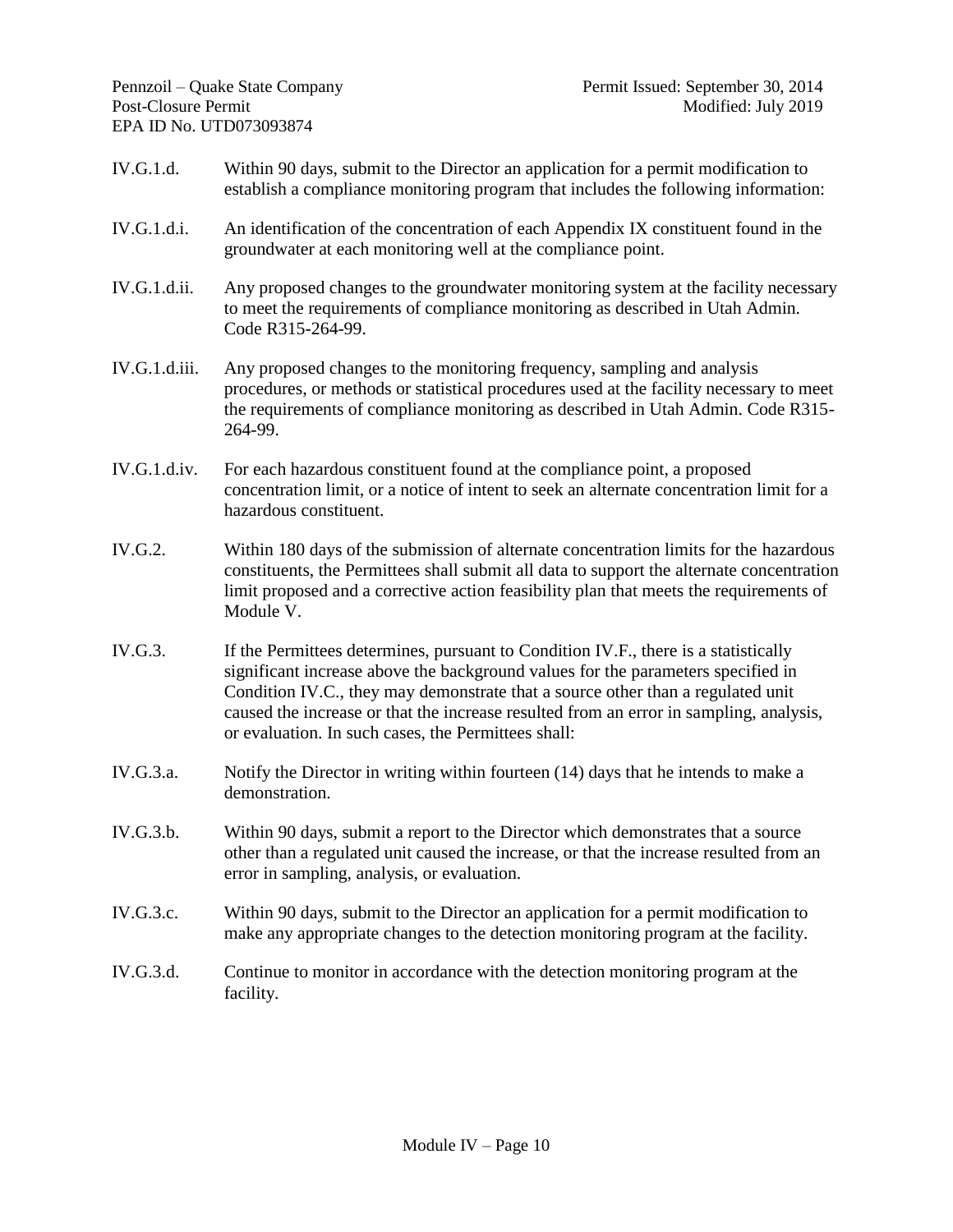- IV.G.1.d. Within 90 days, submit to the Director an application for a permit modification to establish a compliance monitoring program that includes the following information:
- IV.G.1.d.i. An identification of the concentration of each Appendix IX constituent found in the groundwater at each monitoring well at the compliance point.
- IV.G.1.d.ii. Any proposed changes to the groundwater monitoring system at the facility necessary to meet the requirements of compliance monitoring as described in Utah Admin. Code R315-264-99.
- IV.G.1.d.iii. Any proposed changes to the monitoring frequency, sampling and analysis procedures, or methods or statistical procedures used at the facility necessary to meet the requirements of compliance monitoring as described in Utah Admin. Code R315- 264-99.
- IV.G.1.d.iv. For each hazardous constituent found at the compliance point, a proposed concentration limit, or a notice of intent to seek an alternate concentration limit for a hazardous constituent.
- IV.G.2. Within 180 days of the submission of alternate concentration limits for the hazardous constituents, the Permittees shall submit all data to support the alternate concentration limit proposed and a corrective action feasibility plan that meets the requirements of Module V.
- IV.G.3. If the Permittees determines, pursuant to Condition IV.F., there is a statistically significant increase above the background values for the parameters specified in Condition IV.C., they may demonstrate that a source other than a regulated unit caused the increase or that the increase resulted from an error in sampling, analysis, or evaluation. In such cases, the Permittees shall:
- IV.G.3.a. Notify the Director in writing within fourteen (14) days that he intends to make a demonstration.
- IV.G.3.b. Within 90 days, submit a report to the Director which demonstrates that a source other than a regulated unit caused the increase, or that the increase resulted from an error in sampling, analysis, or evaluation.
- IV.G.3.c. Within 90 days, submit to the Director an application for a permit modification to make any appropriate changes to the detection monitoring program at the facility.
- IV.G.3.d. Continue to monitor in accordance with the detection monitoring program at the facility.